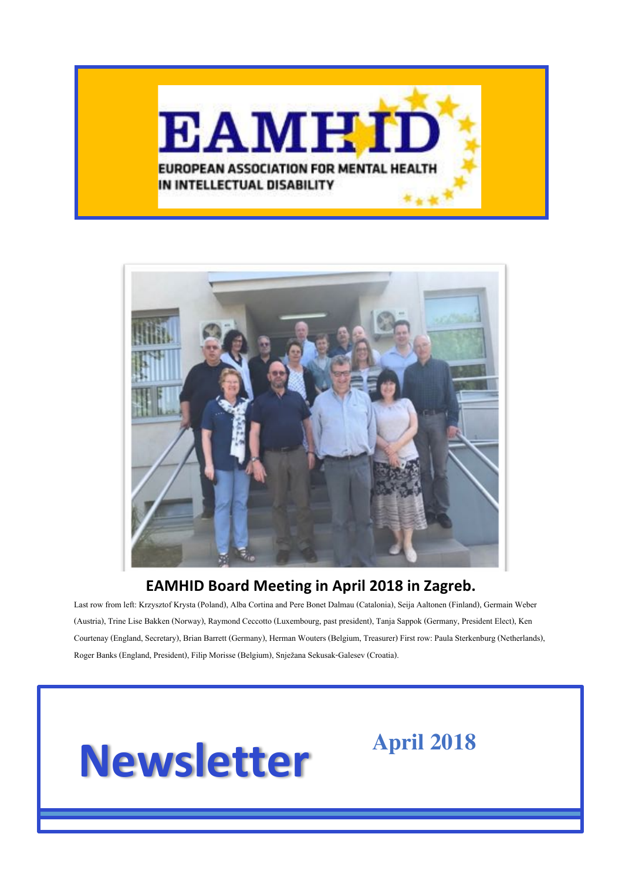



#### **EAMHID Board Meeting in April 2018 in Zagreb.**

Last row from left: Krzysztof Krysta (Poland), Alba Cortina and Pere Bonet Dalmau (Catalonia), Seija Aaltonen (Finland), Germain Weber (Austria), Trine Lise Bakken (Norway), Raymond Ceccotto (Luxembourg, past president), Tanja Sappok (Germany, President Elect), Ken Courtenay (England, Secretary), Brian Barrett (Germany), Herman Wouters (Belgium, Treasurer) First row: Paula Sterkenburg (Netherlands), Roger Banks (England, President), Filip Morisse (Belgium), Snježana Sekusak-Galesev (Croatia).

# **Newsletter**

**April 2018**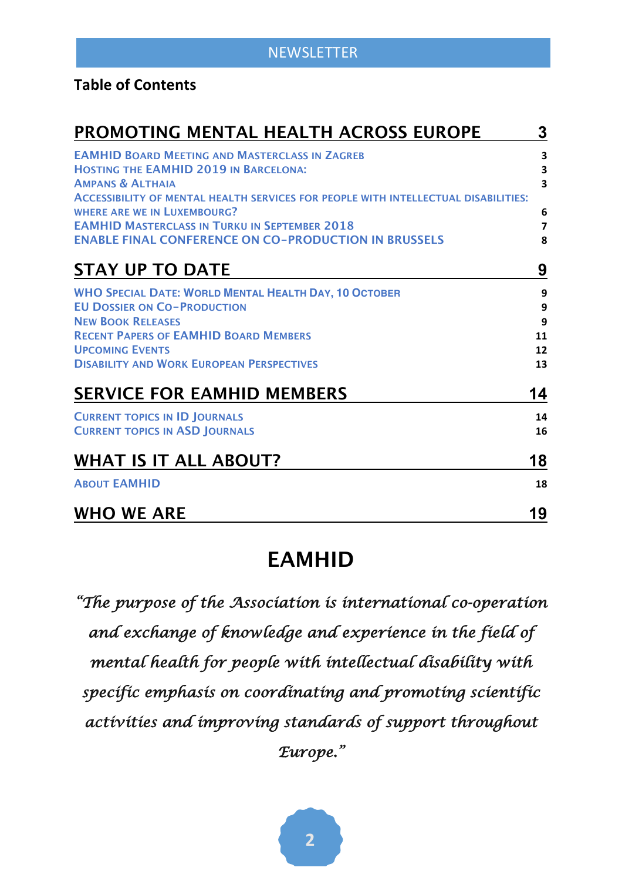#### **Table of Contents**

| PROMOTING MENTAL HEALTH ACROSS EUROPE                                                                                                                                            | 3                                                       |
|----------------------------------------------------------------------------------------------------------------------------------------------------------------------------------|---------------------------------------------------------|
| <b>EAMHID BOARD MEETING AND MASTERCLASS IN ZAGREB</b><br><b>HOSTING THE EAMHID 2019 IN BARCELONA:</b><br><b>AMPANS &amp; ALTHAIA</b>                                             | 3<br>$\overline{\mathbf{3}}$<br>$\overline{\mathbf{3}}$ |
| ACCESSIBILITY OF MENTAL HEALTH SERVICES FOR PEOPLE WITH INTELLECTUAL DISABILITIES:<br><b>WHERE ARE WE IN LUXEMBOURG?</b><br><b>EAMHID MASTERCLASS IN TURKU IN SEPTEMBER 2018</b> | 6<br>$\overline{\mathbf{z}}$                            |
| <b>ENABLE FINAL CONFERENCE ON CO-PRODUCTION IN BRUSSELS</b>                                                                                                                      | 8                                                       |
| <b>STAY UP TO DATE</b>                                                                                                                                                           | 9                                                       |
| <b>WHO SPECIAL DATE: WORLD MENTAL HEALTH DAY, 10 OCTOBER</b><br><b>EU DOSSIER ON CO-PRODUCTION</b>                                                                               | 9<br>9                                                  |
| <b>NEW BOOK RELEASES</b>                                                                                                                                                         | 9                                                       |
| <b>RECENT PAPERS OF EAMHID BOARD MEMBERS</b><br><b>UPCOMING EVENTS</b>                                                                                                           | 11                                                      |
| <b>DISABILITY AND WORK EUROPEAN PERSPECTIVES</b>                                                                                                                                 | 12<br>13                                                |
| <b>SERVICE FOR EAMHID MEMBERS</b>                                                                                                                                                | 14                                                      |
| <b>CURRENT TOPICS IN ID JOURNALS</b>                                                                                                                                             | 14                                                      |
| <b>CURRENT TOPICS IN ASD JOURNALS</b>                                                                                                                                            | 16                                                      |
| <b>WHAT IS IT ALL ABOUT?</b>                                                                                                                                                     | 18                                                      |
| <b>ABOUT EAMHID</b>                                                                                                                                                              | 18                                                      |
| <b>WHO WE ARE</b>                                                                                                                                                                | 19                                                      |

## **EAMHID**

*"The purpose of the Association is international co-operation and exchange of knowledge and experience in the field of mental health for people with intellectual disability with specific emphasis on coordinating and promoting scientific activities and improving standards of support throughout Europe."*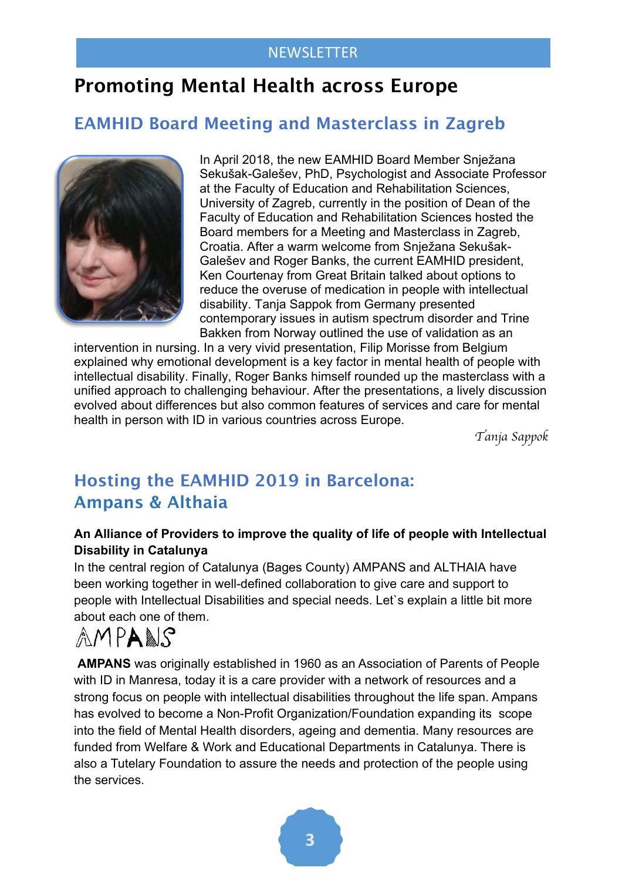## **Promoting Mental Health across Europe**

## **EAMHID Board Meeting and Masterclass in Zagreb**



In April 2018, the new EAMHID Board Member Snježana Sekušak-Galešev, PhD, Psychologist and Associate Professor at the Faculty of Education and Rehabilitation Sciences, University of Zagreb, currently in the position of Dean of the Faculty of Education and Rehabilitation Sciences hosted the Board members for a Meeting and Masterclass in Zagreb, Croatia. After a warm welcome from Snježana Sekušak-Galešev and Roger Banks, the current EAMHID president, Ken Courtenay from Great Britain talked about options to reduce the overuse of medication in people with intellectual disability. Tanja Sappok from Germany presented contemporary issues in autism spectrum disorder and Trine Bakken from Norway outlined the use of validation as an

intervention in nursing. In a very vivid presentation, Filip Morisse from Belgium explained why emotional development is a key factor in mental health of people with intellectual disability. Finally, Roger Banks himself rounded up the masterclass with a unified approach to challenging behaviour. After the presentations, a lively discussion evolved about differences but also common features of services and care for mental health in person with ID in various countries across Europe.

*Tanja Sappok*

## **Hosting the EAMHID 2019 in Barcelona: Ampans & Althaia**

#### **An Alliance of Providers to improve the quality of life of people with Intellectual Disability in Catalunya**

In the central region of Catalunya (Bages County) AMPANS and ALTHAIA have been working together in well-defined collaboration to give care and support to people with Intellectual Disabilities and special needs. Let`s explain a little bit more about each one of them.

## AMPANS

**AMPANS** was originally established in 1960 as an Association of Parents of People with ID in Manresa, today it is a care provider with a network of resources and a strong focus on people with intellectual disabilities throughout the life span. Ampans has evolved to become a Non-Profit Organization/Foundation expanding its scope into the field of Mental Health disorders, ageing and dementia. Many resources are funded from Welfare & Work and Educational Departments in Catalunya. There is also a Tutelary Foundation to assure the needs and protection of the people using the services.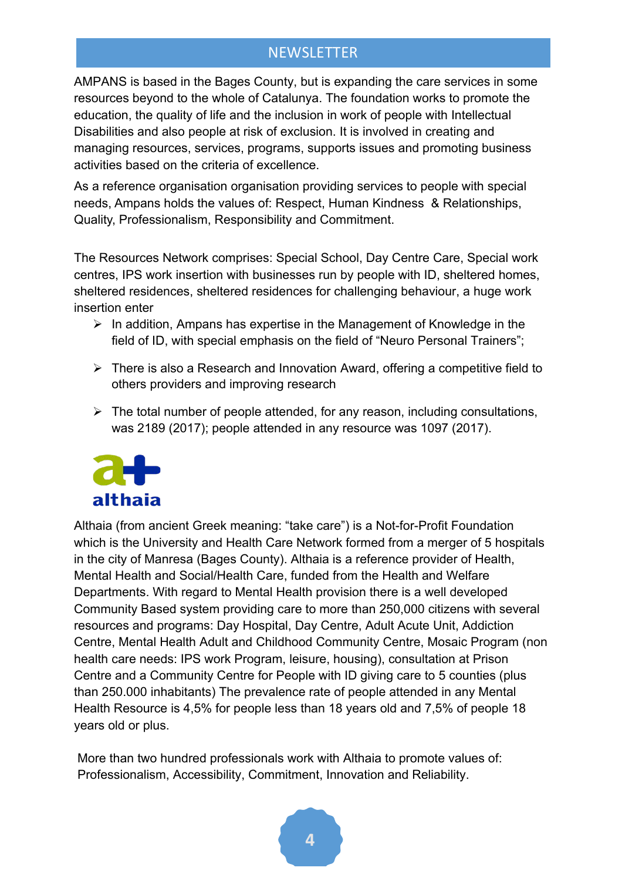AMPANS is based in the Bages County, but is expanding the care services in some resources beyond to the whole of Catalunya. The foundation works to promote the education, the quality of life and the inclusion in work of people with Intellectual Disabilities and also people at risk of exclusion. It is involved in creating and managing resources, services, programs, supports issues and promoting business activities based on the criteria of excellence.

As a reference organisation organisation providing services to people with special needs, Ampans holds the values of: Respect, Human Kindness & Relationships, Quality, Professionalism, Responsibility and Commitment.

The Resources Network comprises: Special School, Day Centre Care, Special work centres, IPS work insertion with businesses run by people with ID, sheltered homes, sheltered residences, sheltered residences for challenging behaviour, a huge work insertion enter

- $\triangleright$  In addition, Ampans has expertise in the Management of Knowledge in the field of ID, with special emphasis on the field of "Neuro Personal Trainers";
- $\triangleright$  There is also a Research and Innovation Award, offering a competitive field to others providers and improving research
- $\triangleright$  The total number of people attended, for any reason, including consultations, was 2189 (2017); people attended in any resource was 1097 (2017).



Althaia (from ancient Greek meaning: "take care") is a Not-for-Profit Foundation which is the University and Health Care Network formed from a merger of 5 hospitals in the city of Manresa (Bages County). Althaia is a reference provider of Health, Mental Health and Social/Health Care, funded from the Health and Welfare Departments. With regard to Mental Health provision there is a well developed Community Based system providing care to more than 250,000 citizens with several resources and programs: Day Hospital, Day Centre, Adult Acute Unit, Addiction Centre, Mental Health Adult and Childhood Community Centre, Mosaic Program (non health care needs: IPS work Program, leisure, housing), consultation at Prison Centre and a Community Centre for People with ID giving care to 5 counties (plus than 250.000 inhabitants) The prevalence rate of people attended in any Mental Health Resource is 4,5% for people less than 18 years old and 7,5% of people 18 years old or plus.

More than two hundred professionals work with Althaia to promote values of: Professionalism, Accessibility, Commitment, Innovation and Reliability.

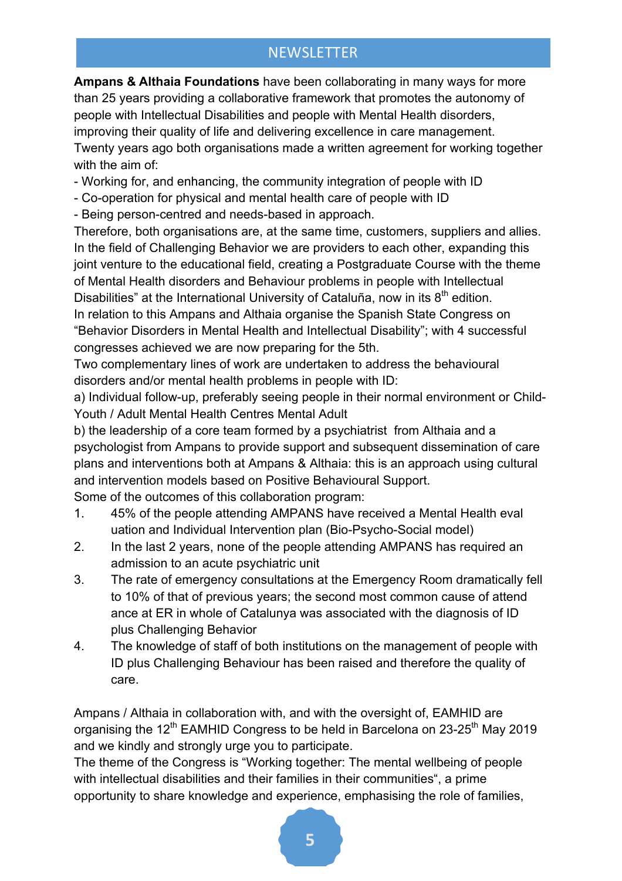**Ampans & Althaia Foundations** have been collaborating in many ways for more than 25 years providing a collaborative framework that promotes the autonomy of people with Intellectual Disabilities and people with Mental Health disorders, improving their quality of life and delivering excellence in care management. Twenty years ago both organisations made a written agreement for working together with the aim of:

- Working for, and enhancing, the community integration of people with ID
- Co-operation for physical and mental health care of people with ID
- Being person-centred and needs-based in approach.

Therefore, both organisations are, at the same time, customers, suppliers and allies. In the field of Challenging Behavior we are providers to each other, expanding this joint venture to the educational field, creating a Postgraduate Course with the theme of Mental Health disorders and Behaviour problems in people with Intellectual Disabilities" at the International University of Cataluña, now in its  $8<sup>th</sup>$  edition.

In relation to this Ampans and Althaia organise the Spanish State Congress on "Behavior Disorders in Mental Health and Intellectual Disability"; with 4 successful congresses achieved we are now preparing for the 5th.

Two complementary lines of work are undertaken to address the behavioural disorders and/or mental health problems in people with ID:

a) Individual follow-up, preferably seeing people in their normal environment or Child-Youth / Adult Mental Health Centres Mental Adult

b) the leadership of a core team formed by a psychiatrist from Althaia and a psychologist from Ampans to provide support and subsequent dissemination of care plans and interventions both at Ampans & Althaia: this is an approach using cultural and intervention models based on Positive Behavioural Support.

Some of the outcomes of this collaboration program:

- 1. 45% of the people attending AMPANS have received a Mental Health eval uation and Individual Intervention plan (Bio-Psycho-Social model)
- 2. In the last 2 years, none of the people attending AMPANS has required an admission to an acute psychiatric unit
- 3. The rate of emergency consultations at the Emergency Room dramatically fell to 10% of that of previous years; the second most common cause of attend ance at ER in whole of Catalunya was associated with the diagnosis of ID plus Challenging Behavior
- 4. The knowledge of staff of both institutions on the management of people with ID plus Challenging Behaviour has been raised and therefore the quality of care.

Ampans / Althaia in collaboration with, and with the oversight of, EAMHID are organising the 12<sup>th</sup> EAMHID Congress to be held in Barcelona on 23-25<sup>th</sup> May 2019 and we kindly and strongly urge you to participate.

The theme of the Congress is "Working together: The mental wellbeing of people with intellectual disabilities and their families in their communities", a prime opportunity to share knowledge and experience, emphasising the role of families,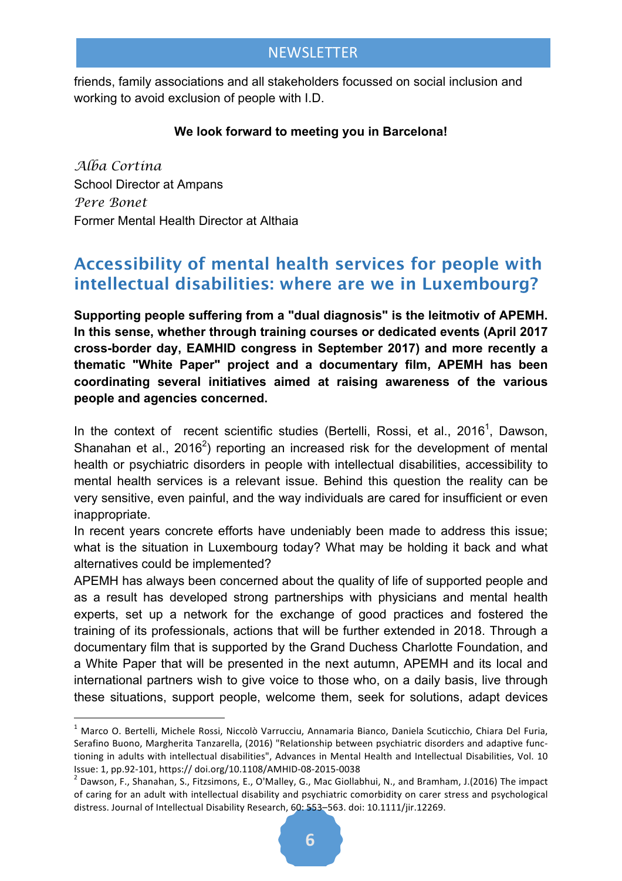friends, family associations and all stakeholders focussed on social inclusion and working to avoid exclusion of people with I.D.

#### **We look forward to meeting you in Barcelona!**

*Alba Cortina* School Director at Ampans *Pere Bonet* Former Mental Health Director at Althaia

## **Accessibility of mental health services for people with intellectual disabilities: where are we in Luxembourg?**

**Supporting people suffering from a "dual diagnosis" is the leitmotiv of APEMH. In this sense, whether through training courses or dedicated events (April 2017 cross-border day, EAMHID congress in September 2017) and more recently a thematic "White Paper" project and a documentary film, APEMH has been coordinating several initiatives aimed at raising awareness of the various people and agencies concerned.**

In the context of recent scientific studies (Bertelli, Rossi, et al., 2016<sup>1</sup>, Dawson, Shanahan et al., 2016<sup>2</sup>) reporting an increased risk for the development of mental health or psychiatric disorders in people with intellectual disabilities, accessibility to mental health services is a relevant issue. Behind this question the reality can be very sensitive, even painful, and the way individuals are cared for insufficient or even inappropriate.

In recent years concrete efforts have undeniably been made to address this issue; what is the situation in Luxembourg today? What may be holding it back and what alternatives could be implemented?

APEMH has always been concerned about the quality of life of supported people and as a result has developed strong partnerships with physicians and mental health experts, set up a network for the exchange of good practices and fostered the training of its professionals, actions that will be further extended in 2018. Through a documentary film that is supported by the Grand Duchess Charlotte Foundation, and a White Paper that will be presented in the next autumn, APEMH and its local and international partners wish to give voice to those who, on a daily basis, live through these situations, support people, welcome them, seek for solutions, adapt devices

 $1$  Marco O. Bertelli, Michele Rossi, Niccolò Varrucciu, Annamaria Bianco, Daniela Scuticchio, Chiara Del Furia, Serafino Buono, Margherita Tanzarella, (2016) "Relationship between psychiatric disorders and adaptive functioning in adults with intellectual disabilities", Advances in Mental Health and Intellectual Disabilities, Vol. 10

Issue: 1, pp.92-101, https:// doi.org/10.1108/AMHID-08-2015-0038<br>
<sup>2</sup> Dawson, F., Shanahan, S., Fitzsimons, E., O'Malley, G., Mac Giollabhui, N., and Bramham, J.(2016) The impact of caring for an adult with intellectual disability and psychiatric comorbidity on carer stress and psychological distress. Journal of Intellectual Disability Research, 60: 553-563. doi: 10.1111/jir.12269.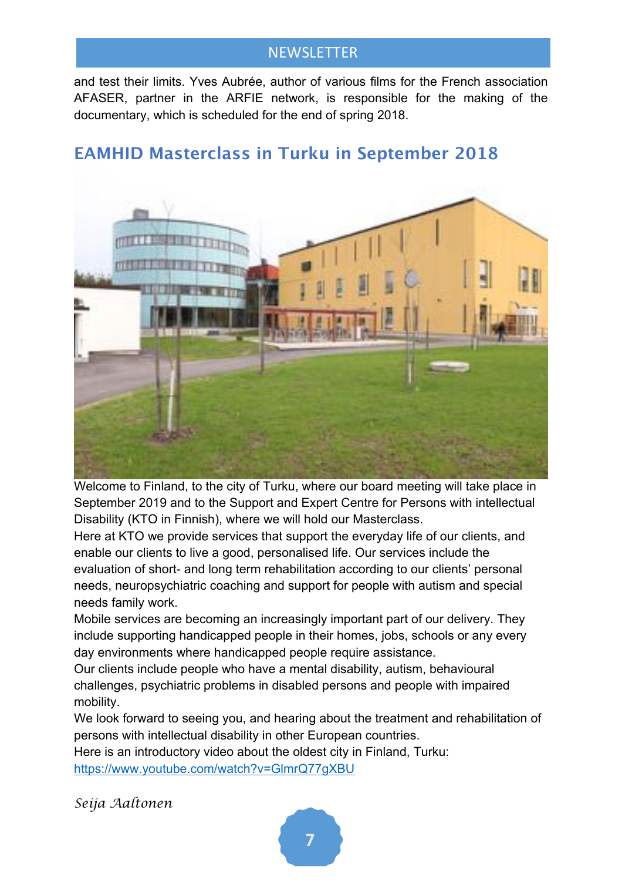and test their limits. Yves Aubrée, author of various films for the French association AFASER, partner in the ARFIE network, is responsible for the making of the documentary, which is scheduled for the end of spring 2018.

## **EAMHID Masterclass in Turku in September 2018**



Welcome to Finland, to the city of Turku, where our board meeting will take place in September 2019 and to the Support and Expert Centre for Persons with intellectual Disability (KTO in Finnish), where we will hold our Masterclass.

Here at KTO we provide services that support the everyday life of our clients, and enable our clients to live a good, personalised life. Our services include the evaluation of short- and long term rehabilitation according to our clients' personal needs, neuropsychiatric coaching and support for people with autism and special needs family work.

Mobile services are becoming an increasingly important part of our delivery. They include supporting handicapped people in their homes, jobs, schools or any every day environments where handicapped people require assistance.

Our clients include people who have a mental disability, autism, behavioural challenges, psychiatric problems in disabled persons and people with impaired mobility.

We look forward to seeing you, and hearing about the treatment and rehabilitation of persons with intellectual disability in other European countries.

Here is an introductory video about the oldest city in Finland, Turku: https://www.youtube.com/watch?v=GlmrQ77gXBU

*Seija Aaltonen*

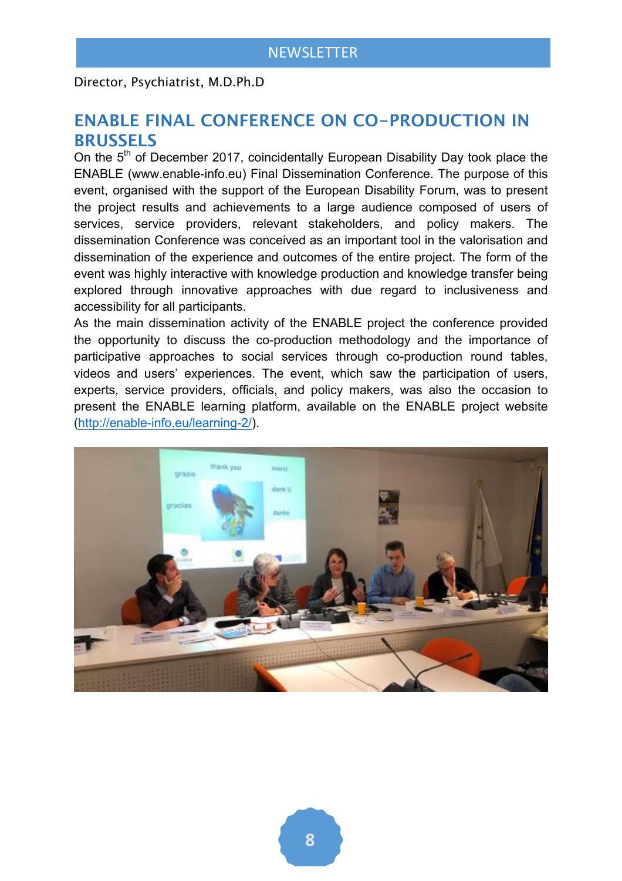Director, Psychiatrist, M.D.Ph.D

#### **ENABLE FINAL CONFERENCE ON CO-PRODUCTION IN BRUSSELS**

On the 5<sup>th</sup> of December 2017, coincidentally European Disability Day took place the ENABLE (www.enable-info.eu) Final Dissemination Conference. The purpose of this event, organised with the support of the European Disability Forum, was to present the project results and achievements to a large audience composed of users of services, service providers, relevant stakeholders, and policy makers. The dissemination Conference was conceived as an important tool in the valorisation and dissemination of the experience and outcomes of the entire project. The form of the event was highly interactive with knowledge production and knowledge transfer being explored through innovative approaches with due regard to inclusiveness and accessibility for all participants.

As the main dissemination activity of the ENABLE project the conference provided the opportunity to discuss the co-production methodology and the importance of participative approaches to social services through co-production round tables, videos and users' experiences. The event, which saw the participation of users, experts, service providers, officials, and policy makers, was also the occasion to present the ENABLE learning platform, available on the ENABLE project website (http://enable-info.eu/learning-2/).

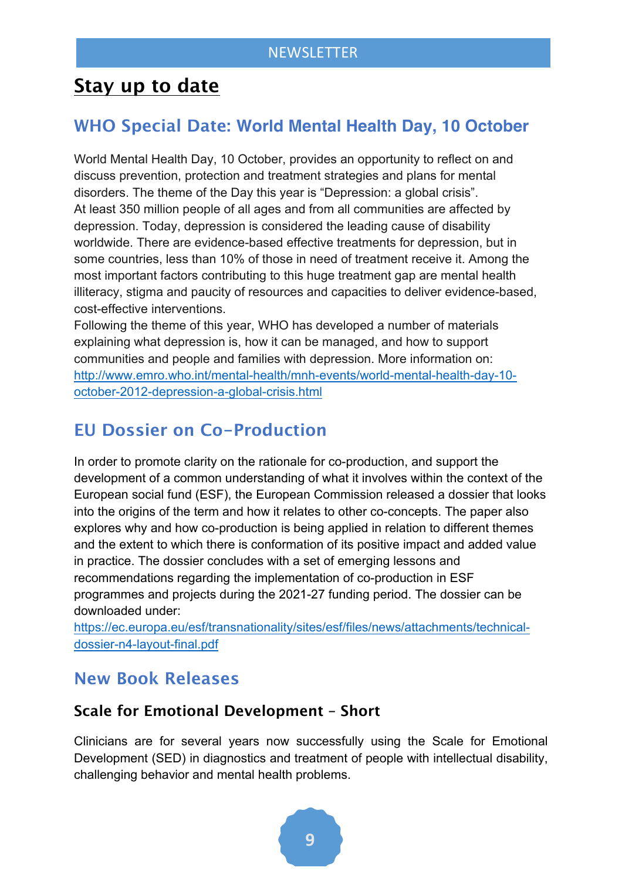## **Stay up to date**

## **WHO Special Date: World Mental Health Day, 10 October**

World Mental Health Day, 10 October, provides an opportunity to reflect on and discuss prevention, protection and treatment strategies and plans for mental disorders. The theme of the Day this year is "Depression: a global crisis". At least 350 million people of all ages and from all communities are affected by depression. Today, depression is considered the leading cause of disability worldwide. There are evidence-based effective treatments for depression, but in some countries, less than 10% of those in need of treatment receive it. Among the most important factors contributing to this huge treatment gap are mental health illiteracy, stigma and paucity of resources and capacities to deliver evidence-based, cost-effective interventions.

Following the theme of this year, WHO has developed a number of materials explaining what depression is, how it can be managed, and how to support communities and people and families with depression. More information on: http://www.emro.who.int/mental-health/mnh-events/world-mental-health-day-10 october-2012-depression-a-global-crisis.html

## **EU Dossier on Co-Production**

In order to promote clarity on the rationale for co-production, and support the development of a common understanding of what it involves within the context of the European social fund (ESF), the European Commission released a dossier that looks into the origins of the term and how it relates to other co-concepts. The paper also explores why and how co-production is being applied in relation to different themes and the extent to which there is conformation of its positive impact and added value in practice. The dossier concludes with a set of emerging lessons and recommendations regarding the implementation of co-production in ESF programmes and projects during the 2021-27 funding period. The dossier can be downloaded under:

https://ec.europa.eu/esf/transnationality/sites/esf/files/news/attachments/technicaldossier-n4-layout-final.pdf

## **New Book Releases**

#### **Scale for Emotional Development – Short**

Clinicians are for several years now successfully using the Scale for Emotional Development (SED) in diagnostics and treatment of people with intellectual disability, challenging behavior and mental health problems.

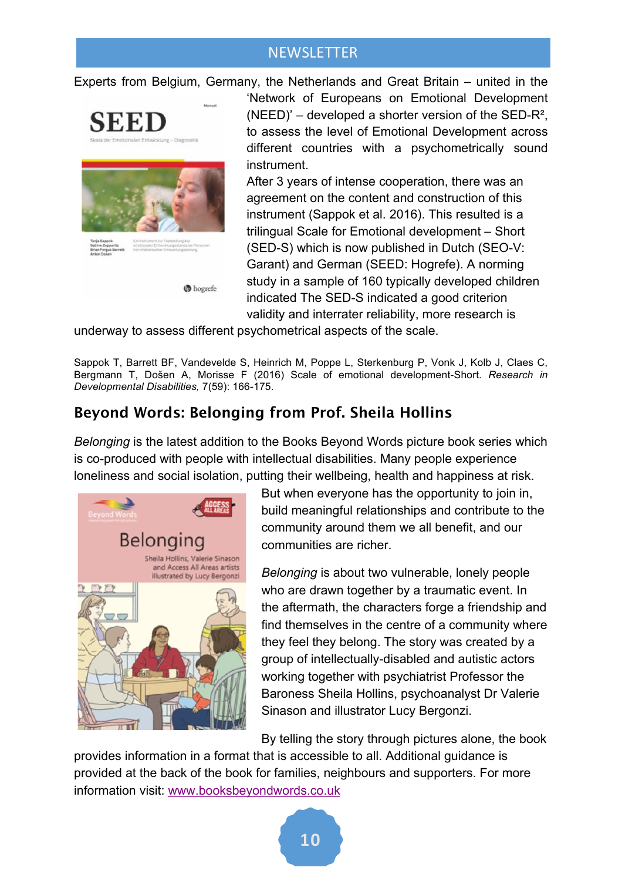Experts from Belgium, Germany, the Netherlands and Great Britain – united in the



'Network of Europeans on Emotional Development  $(NEED)'$  – developed a shorter version of the SED-R<sup>2</sup>, to assess the level of Emotional Development across different countries with a psychometrically sound instrument.

After 3 years of intense cooperation, there was an agreement on the content and construction of this instrument (Sappok et al. 2016). This resulted is a trilingual Scale for Emotional development – Short (SED-S) which is now published in Dutch (SEO-V: Garant) and German (SEED: Hogrefe). A norming study in a sample of 160 typically developed children indicated The SED-S indicated a good criterion validity and interrater reliability, more research is

underway to assess different psychometrical aspects of the scale.

Sappok T, Barrett BF, Vandevelde S, Heinrich M, Poppe L, Sterkenburg P, Vonk J, Kolb J, Claes C, Bergmann T, Došen A, Morisse F (2016) Scale of emotional development-Short. *Research in Developmental Disabilities,* 7(59): 166-175.

#### **Beyond Words: Belonging from Prof. Sheila Hollins**

*Belonging* is the latest addition to the Books Beyond Words picture book series which is co-produced with people with intellectual disabilities. Many people experience loneliness and social isolation, putting their wellbeing, health and happiness at risk.



But when everyone has the opportunity to join in, build meaningful relationships and contribute to the community around them we all benefit, and our communities are richer.

*Belonging* is about two vulnerable, lonely people who are drawn together by a traumatic event. In the aftermath, the characters forge a friendship and find themselves in the centre of a community where they feel they belong. The story was created by a group of intellectually-disabled and autistic actors working together with psychiatrist Professor the Baroness Sheila Hollins, psychoanalyst Dr Valerie Sinason and illustrator Lucy Bergonzi.

By telling the story through pictures alone, the book

provides information in a format that is accessible to all. Additional guidance is provided at the back of the book for families, neighbours and supporters. For more information visit: www.booksbeyondwords.co.uk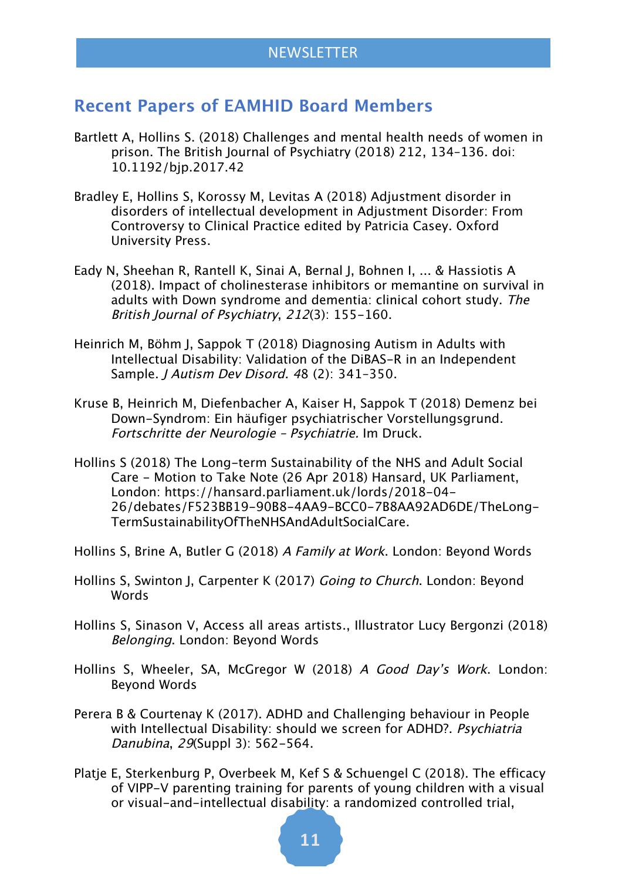#### **Recent Papers of EAMHID Board Members**

- Bartlett A, Hollins S. (2018) Challenges and mental health needs of women in prison. The British Journal of Psychiatry (2018) 212, 134–136. doi: 10.1192/bjp.2017.42
- Bradley E, Hollins S, Korossy M, Levitas A (2018) Adjustment disorder in disorders of intellectual development in Adjustment Disorder: From Controversy to Clinical Practice edited by Patricia Casey. Oxford University Press.
- Eady N, Sheehan R, Rantell K, Sinai A, Bernal J, Bohnen I, ... & Hassiotis A (2018). Impact of cholinesterase inhibitors or memantine on survival in adults with Down syndrome and dementia: clinical cohort study. The British Journal of Psychiatry, 212(3): 155-160.
- Heinrich M, Böhm J, Sappok T (2018) Diagnosing Autism in Adults with Intellectual Disability: Validation of the DiBAS-R in an Independent Sample. J Autism Dev Disord. 48 (2): 341–350.
- Kruse B, Heinrich M, Diefenbacher A, Kaiser H, Sappok T (2018) Demenz bei Down-Syndrom: Ein häufiger psychiatrischer Vorstellungsgrund. Fortschritte der Neurologie – Psychiatrie. Im Druck.
- Hollins S (2018) The Long-term Sustainability of the NHS and Adult Social Care - Motion to Take Note (26 Apr 2018) Hansard, UK Parliament, London: https://hansard.parliament.uk/lords/2018-04- 26/debates/F523BB19-90B8-4AA9-BCC0-7B8AA92AD6DE/TheLong-TermSustainabilityOfTheNHSAndAdultSocialCare.
- Hollins S, Brine A, Butler G (2018) A Family at Work. London: Beyond Words
- Hollins S, Swinton J, Carpenter K (2017) Going to Church. London: Beyond Words
- Hollins S, Sinason V, Access all areas artists., Illustrator Lucy Bergonzi (2018) Belonging. London: Beyond Words
- Hollins S, Wheeler, SA, McGregor W (2018) A Good Day's Work. London: Beyond Words
- Perera B & Courtenay K (2017). ADHD and Challenging behaviour in People with Intellectual Disability: should we screen for ADHD?. Psychiatria Danubina, 29(Suppl 3): 562-564.
- Platje E, Sterkenburg P, Overbeek M, Kef S & Schuengel C (2018). The efficacy of VIPP-V parenting training for parents of young children with a visual or visual-and-intellectual disability: a randomized controlled trial,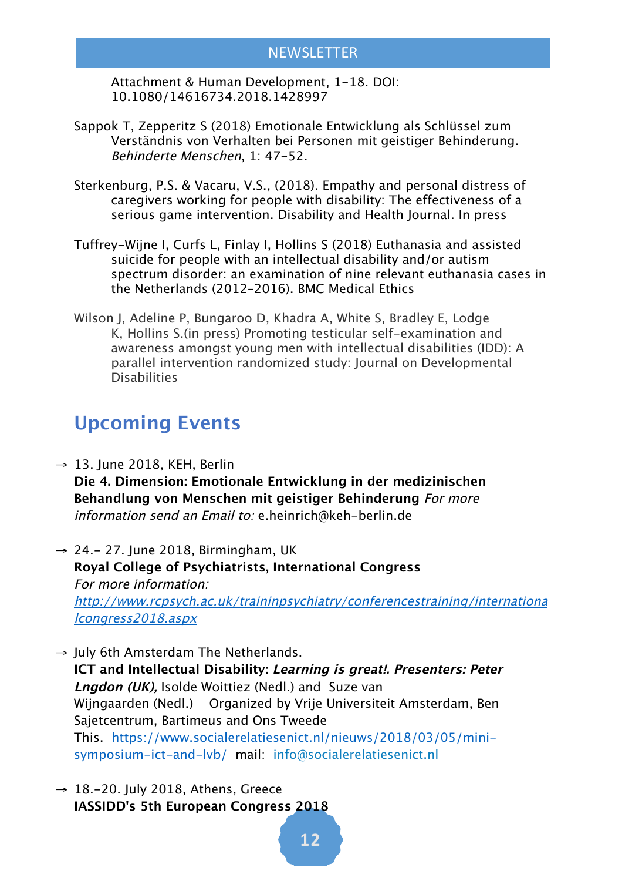Attachment & Human Development, 1-18. DOI: 10.1080/14616734.2018.1428997

- Sappok T, Zepperitz S (2018) Emotionale Entwicklung als Schlüssel zum Verständnis von Verhalten bei Personen mit geistiger Behinderung. Behinderte Menschen, 1: 47-52.
- Sterkenburg, P.S. & Vacaru, V.S., (2018). Empathy and personal distress of caregivers working for people with disability: The effectiveness of a serious game intervention. Disability and Health Journal. In press
- Tuffrey-Wijne I, Curfs L, Finlay I, Hollins S (2018) Euthanasia and assisted suicide for people with an intellectual disability and/or autism spectrum disorder: an examination of nine relevant euthanasia cases in the Netherlands (2012–2016). BMC Medical Ethics
- Wilson J, Adeline P, Bungaroo D, Khadra A, White S, Bradley E, Lodge K, Hollins S.(in press) Promoting testicular self-examination and awareness amongst young men with intellectual disabilities (IDD): A parallel intervention randomized study: Journal on Developmental **Disabilities**

## **Upcoming Events**

- $\rightarrow$  13. June 2018, KEH, Berlin **Die 4. Dimension: Emotionale Entwicklung in der medizinischen Behandlung von Menschen mit geistiger Behinderung** For more information send an Email to: e.heinrich@keh-berlin.de
- $\rightarrow$  24.- 27. June 2018, Birmingham, UK **Royal College of Psychiatrists, International Congress** For more information: http://www.rcpsych.ac.uk/traininpsychiatry/conferencestraining/internationa lcongress2018.aspx
- $\rightarrow$  July 6th Amsterdam The Netherlands. **ICT and Intellectual Disability: Learning is great!. Presenters: Peter Lngdon (UK),** Isolde Woittiez (Nedl.) and Suze van Wijngaarden (Nedl.) Organized by Vrije Universiteit Amsterdam, Ben Sajetcentrum, Bartimeus and Ons Tweede This. https://www.socialerelatiesenict.nl/nieuws/2018/03/05/minisymposium-ict-and-lvb/ mail: info@socialerelatiesenict.nl
- $\rightarrow$  18.-20. July 2018, Athens, Greece **IASSIDD's 5th European Congress 2018**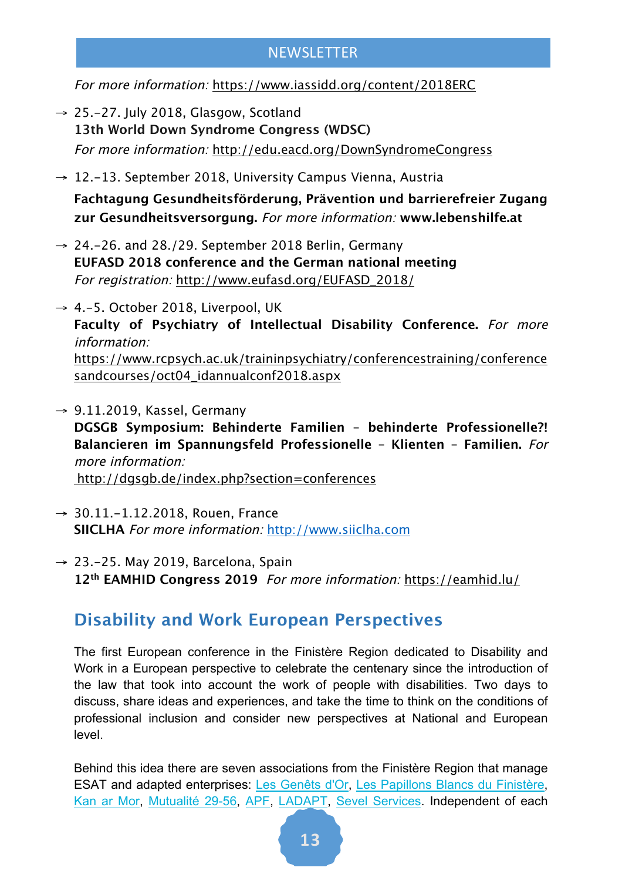For more information: https://www.iassidd.org/content/2018ERC

- $\rightarrow$  25.-27. July 2018, Glasgow, Scotland **13th World Down Syndrome Congress (WDSC)**  For more information: http://edu.eacd.org/DownSyndromeCongress
- $\rightarrow$  12.-13. September 2018, University Campus Vienna, Austria **Fachtagung Gesundheitsförderung, Prävention und barrierefreier Zugang zur Gesundheitsversorgung.** For more information: **www.lebenshilfe.at**
- $\rightarrow$  24.-26. and 28./29. September 2018 Berlin, Germany **EUFASD 2018 conference and the German national meeting** For registration: http://www.eufasd.org/EUFASD\_2018/
- $\rightarrow$  4.-5. October 2018, Liverpool, UK **Faculty of Psychiatry of Intellectual Disability Conference.** For more information: https://www.rcpsych.ac.uk/traininpsychiatry/conferencestraining/conference sandcourses/oct04\_idannualconf2018.aspx
- $\rightarrow$  9.11.2019, Kassel, Germany **DGSGB Symposium: Behinderte Familien – behinderte Professionelle?! Balancieren im Spannungsfeld Professionelle – Klienten – Familien.** For more information: http://dgsgb.de/index.php?section=conferences
- $→ 30.11.-1.12.2018$ , Rouen, France **SIICLHA** For more information: http://www.siiclha.com
- $\rightarrow$  23.-25. May 2019, Barcelona, Spain **12th EAMHID Congress 2019** For more information: https://eamhid.lu/

#### **Disability and Work European Perspectives**

The first European conference in the Finistère Region dedicated to Disability and Work in a European perspective to celebrate the centenary since the introduction of the law that took into account the work of people with disabilities. Two days to discuss, share ideas and experiences, and take the time to think on the conditions of professional inclusion and consider new perspectives at National and European level.

Behind this idea there are seven associations from the Finistère Region that manage ESAT and adapted enterprises: Les Genêts d'Or, Les Papillons Blancs du Finistère, Kan ar Mor, Mutualité 29-56, APF, LADAPT, Sevel Services. Independent of each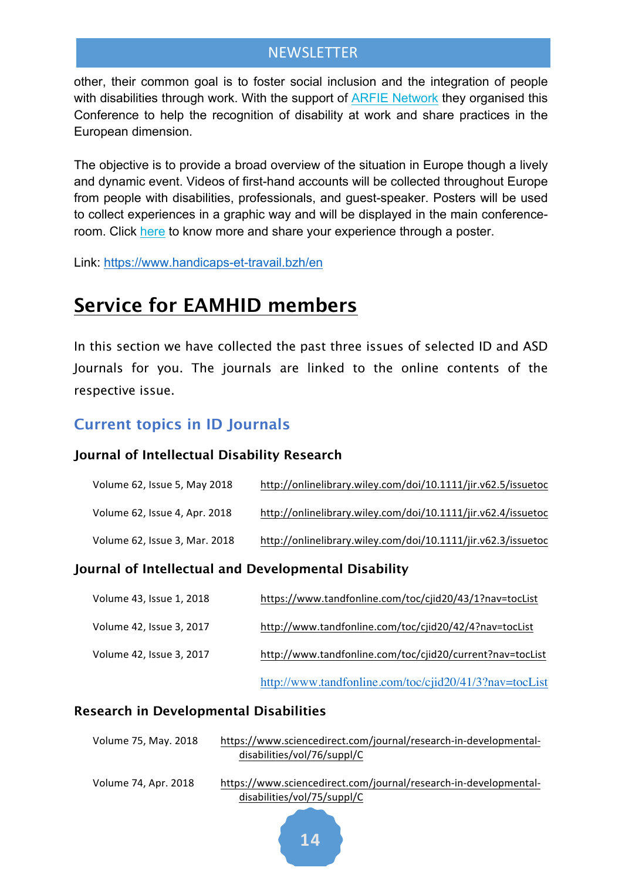other, their common goal is to foster social inclusion and the integration of people with disabilities through work. With the support of ARFIE Network they organised this Conference to help the recognition of disability at work and share practices in the European dimension.

The objective is to provide a broad overview of the situation in Europe though a lively and dynamic event. Videos of first-hand accounts will be collected throughout Europe from people with disabilities, professionals, and guest-speaker. Posters will be used to collect experiences in a graphic way and will be displayed in the main conferenceroom. Click here to know more and share your experience through a poster.

Link: https://www.handicaps-et-travail.bzh/en

## **Service for EAMHID members**

In this section we have collected the past three issues of selected ID and ASD Journals for you. The journals are linked to the online contents of the respective issue.

#### **Current topics in ID Journals**

#### **Journal of Intellectual Disability Research**

| Volume 62, Issue 5, May 2018  | http://onlinelibrary.wiley.com/doi/10.1111/jir.v62.5/issuetoc |
|-------------------------------|---------------------------------------------------------------|
| Volume 62, Issue 4, Apr. 2018 | http://onlinelibrary.wiley.com/doi/10.1111/jir.v62.4/issuetoc |
| Volume 62, Issue 3, Mar. 2018 | http://onlinelibrary.wiley.com/doi/10.1111/jir.v62.3/issuetoc |

#### **Journal of Intellectual and Developmental Disability**

| Volume 43, Issue 1, 2018 | https://www.tandfonline.com/toc/cjid20/43/1?nav=tocList   |
|--------------------------|-----------------------------------------------------------|
| Volume 42, Issue 3, 2017 | http://www.tandfonline.com/toc/cjid20/42/4?nav=tocList    |
| Volume 42, Issue 3, 2017 | http://www.tandfonline.com/toc/cjid20/current?nav=tocList |
|                          | http://www.tandfonline.com/toc/cjid20/41/3?nav=tocList    |

#### **Research in Developmental Disabilities**

| Volume 75, May. 2018 | https://www.sciencedirect.com/journal/research-in-developmental-                                |
|----------------------|-------------------------------------------------------------------------------------------------|
|                      | disabilities/vol/76/suppl/C                                                                     |
| Volume 74, Apr. 2018 | https://www.sciencedirect.com/journal/research-in-developmental-<br>disabilities/vol/75/suppl/C |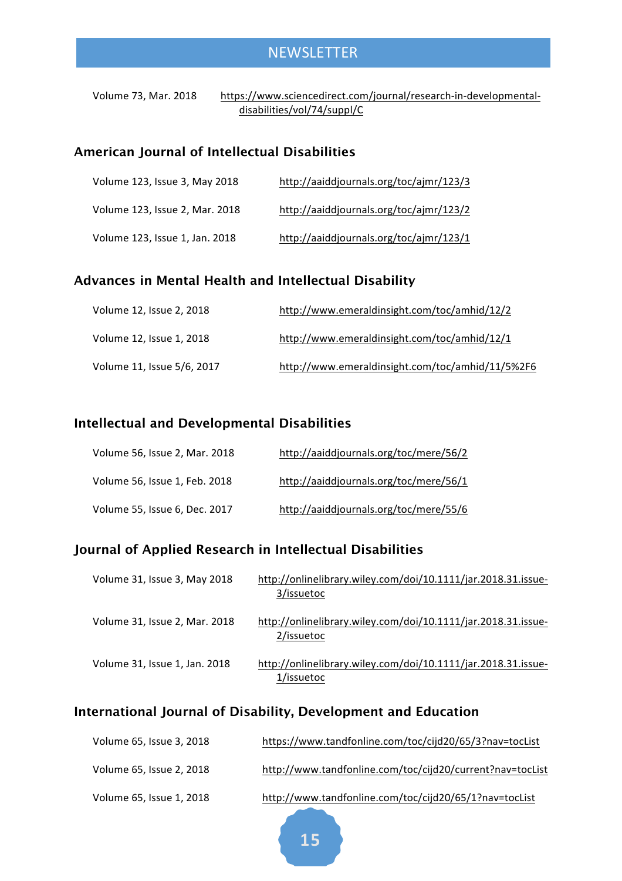Volume 73, Mar. 2018 https://www.sciencedirect.com/journal/research-in-developmentaldisabilities/vol/74/suppl/C

#### **American Journal of Intellectual Disabilities**

| Volume 123, Issue 3, May 2018  | http://aaiddjournals.org/toc/ajmr/123/3 |
|--------------------------------|-----------------------------------------|
| Volume 123, Issue 2, Mar. 2018 | http://aaiddjournals.org/toc/ajmr/123/2 |
| Volume 123, Issue 1, Jan. 2018 | http://aaiddjournals.org/toc/ajmr/123/1 |

#### **Advances in Mental Health and Intellectual Disability**

| Volume 12, Issue 2, 2018   | http://www.emeraldinsight.com/toc/amhid/12/2     |
|----------------------------|--------------------------------------------------|
| Volume 12, Issue 1, 2018   | http://www.emeraldinsight.com/toc/amhid/12/1     |
| Volume 11, Issue 5/6, 2017 | http://www.emeraldinsight.com/toc/amhid/11/5%2F6 |

#### **Intellectual and Developmental Disabilities**

| Volume 56, Issue 2, Mar. 2018 | http://aaiddjournals.org/toc/mere/56/2 |
|-------------------------------|----------------------------------------|
| Volume 56, Issue 1, Feb. 2018 | http://aaiddjournals.org/toc/mere/56/1 |
| Volume 55, Issue 6, Dec. 2017 | http://aaiddjournals.org/toc/mere/55/6 |

#### **Journal of Applied Research in Intellectual Disabilities**

| Volume 31, Issue 3, May 2018  | http://onlinelibrary.wiley.com/doi/10.1111/jar.2018.31.issue- |
|-------------------------------|---------------------------------------------------------------|
|                               | 3/issuetoc                                                    |
|                               |                                                               |
| Volume 31, Issue 2, Mar. 2018 | http://onlinelibrary.wiley.com/doi/10.1111/jar.2018.31.issue- |
|                               | 2/issuetoc                                                    |
|                               |                                                               |
| Volume 31, Issue 1, Jan. 2018 | http://onlinelibrary.wiley.com/doi/10.1111/jar.2018.31.issue- |
|                               | 1/issuetoc                                                    |
|                               |                                                               |

#### **International Journal of Disability, Development and Education**

| Volume 65, Issue 3, 2018 | https://www.tandfonline.com/toc/cijd20/65/3?nav=tocList   |
|--------------------------|-----------------------------------------------------------|
| Volume 65, Issue 2, 2018 | http://www.tandfonline.com/toc/cijd20/current?nav=tocList |
| Volume 65, Issue 1, 2018 | http://www.tandfonline.com/toc/cijd20/65/1?nav=tocList    |

**15**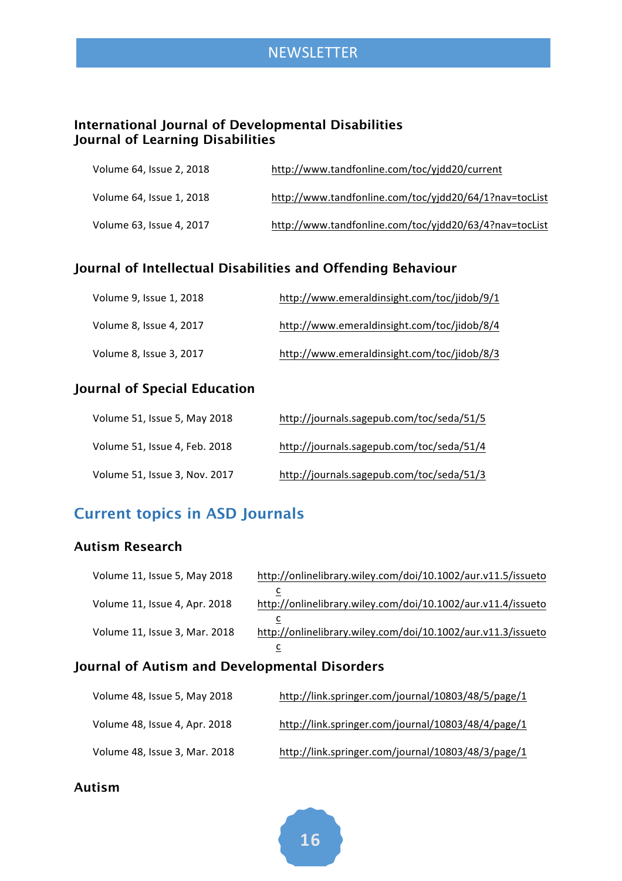#### **International Journal of Developmental Disabilities Journal of Learning Disabilities**

| Volume 64, Issue 2, 2018 | http://www.tandfonline.com/toc/yjdd20/current          |
|--------------------------|--------------------------------------------------------|
| Volume 64, Issue 1, 2018 | http://www.tandfonline.com/toc/yjdd20/64/1?nav=tocList |
| Volume 63, Issue 4, 2017 | http://www.tandfonline.com/toc/yjdd20/63/4?nav=tocList |

#### **Journal of Intellectual Disabilities and Offending Behaviour**

| Volume 9, Issue 1, 2018 | http://www.emeraldinsight.com/toc/jidob/9/1 |
|-------------------------|---------------------------------------------|
| Volume 8, Issue 4, 2017 | http://www.emeraldinsight.com/toc/jidob/8/4 |
| Volume 8, Issue 3, 2017 | http://www.emeraldinsight.com/toc/jidob/8/3 |

#### **Journal of Special Education**

| Volume 51, Issue 5, May 2018  | http://journals.sagepub.com/toc/seda/51/5 |
|-------------------------------|-------------------------------------------|
| Volume 51, Issue 4, Feb. 2018 | http://journals.sagepub.com/toc/seda/51/4 |
| Volume 51, Issue 3, Nov. 2017 | http://journals.sagepub.com/toc/seda/51/3 |

#### **Current topics in ASD Journals**

#### **Autism Research**

| Volume 11, Issue 5, May 2018  | http://onlinelibrary.wiley.com/doi/10.1002/aur.v11.5/issueto |
|-------------------------------|--------------------------------------------------------------|
|                               |                                                              |
| Volume 11, Issue 4, Apr. 2018 | http://onlinelibrary.wiley.com/doi/10.1002/aur.v11.4/issueto |
|                               |                                                              |
| Volume 11, Issue 3, Mar. 2018 | http://onlinelibrary.wiley.com/doi/10.1002/aur.v11.3/issueto |
|                               |                                                              |

#### **Journal of Autism and Developmental Disorders**

| Volume 48, Issue 5, May 2018  | http://link.springer.com/journal/10803/48/5/page/1 |
|-------------------------------|----------------------------------------------------|
| Volume 48, Issue 4, Apr. 2018 | http://link.springer.com/journal/10803/48/4/page/1 |
| Volume 48, Issue 3, Mar. 2018 | http://link.springer.com/journal/10803/48/3/page/1 |

#### **Autism**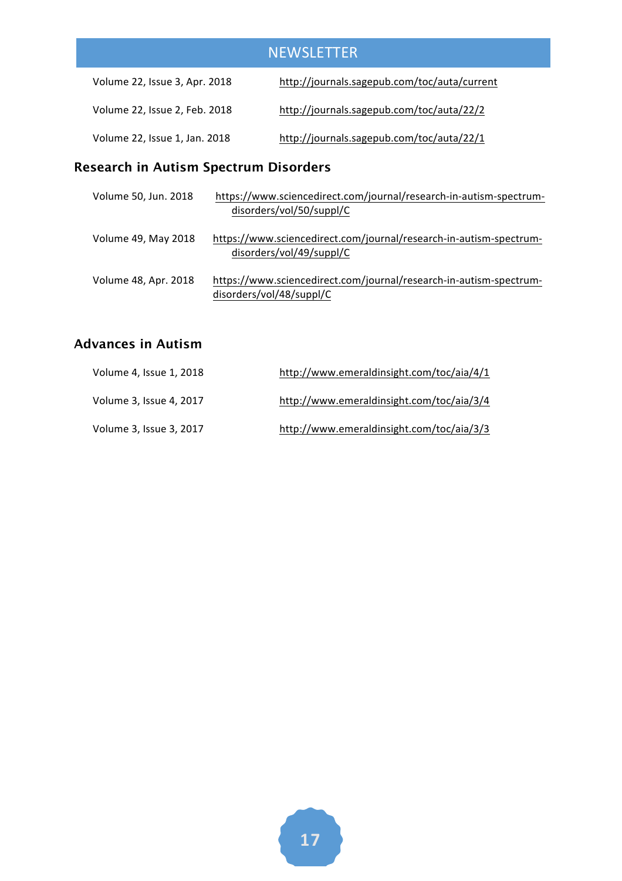| Volume 22, Issue 3, Apr. 2018 | http://journals.sagepub.com/toc/auta/current |  |
|-------------------------------|----------------------------------------------|--|
| Volume 22, Issue 2, Feb. 2018 | http://journals.sagepub.com/toc/auta/22/2    |  |
| Volume 22, Issue 1, Jan. 2018 | http://journals.sagepub.com/toc/auta/22/1    |  |

#### **Research in Autism Spectrum Disorders**

| Volume 50, Jun. 2018 | https://www.sciencedirect.com/journal/research-in-autism-spectrum- |  |
|----------------------|--------------------------------------------------------------------|--|
|                      | disorders/vol/50/suppl/C                                           |  |
|                      |                                                                    |  |
| Volume 49, May 2018  | https://www.sciencedirect.com/journal/research-in-autism-spectrum- |  |
|                      | disorders/vol/49/suppl/C                                           |  |
|                      |                                                                    |  |
| Volume 48, Apr. 2018 | https://www.sciencedirect.com/journal/research-in-autism-spectrum- |  |
|                      | disorders/vol/48/suppl/C                                           |  |

#### **Advances in Autism**

| Volume 4, Issue 1, 2018 | http://www.emeraldinsight.com/toc/aia/4/1 |  |
|-------------------------|-------------------------------------------|--|
| Volume 3, Issue 4, 2017 | http://www.emeraldinsight.com/toc/aia/3/4 |  |
| Volume 3, Issue 3, 2017 | http://www.emeraldinsight.com/toc/aia/3/3 |  |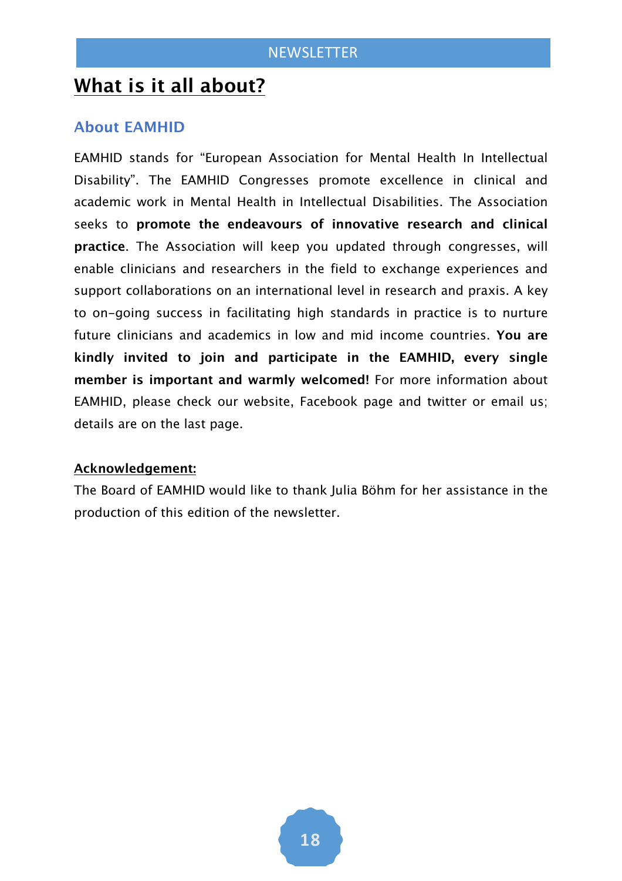## **What is it all about?**

#### **About EAMHID**

EAMHID stands for "European Association for Mental Health In Intellectual Disability". The EAMHID Congresses promote excellence in clinical and academic work in Mental Health in Intellectual Disabilities. The Association seeks to **promote the endeavours of innovative research and clinical practice**. The Association will keep you updated through congresses, will enable clinicians and researchers in the field to exchange experiences and support collaborations on an international level in research and praxis. A key to on-going success in facilitating high standards in practice is to nurture future clinicians and academics in low and mid income countries. **You are kindly invited to join and participate in the EAMHID, every single member is important and warmly welcomed!** For more information about EAMHID, please check our website, Facebook page and twitter or email us; details are on the last page.

#### **Acknowledgement:**

The Board of EAMHID would like to thank Julia Böhm for her assistance in the production of this edition of the newsletter.